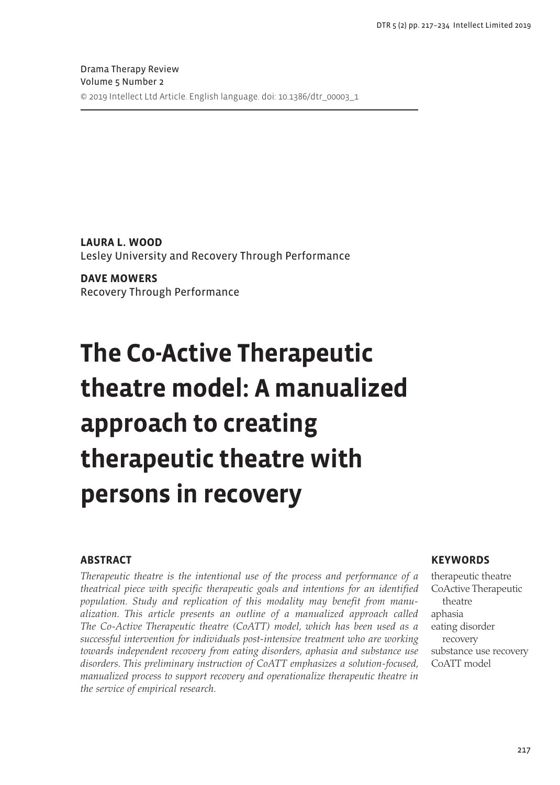**Laura L. Wood** Lesley University and Recovery Through Performance

**Dave Mowers** Recovery Through Performance

# **The Co-Active Therapeutic theatre model: A manualized approach to creating therapeutic theatre with persons in recovery**

# **Abstract**

*Therapeutic theatre is the intentional use of the process and performance of a theatrical piece with specific therapeutic goals and intentions for an identified population. Study and replication of this modality may benefit from manualization. This article presents an outline of a manualized approach called The Co-Active Therapeutic theatre (CoATT) model, which has been used as a successful intervention for individuals post-intensive treatment who are working towards independent recovery from eating disorders, aphasia and substance use disorders. This preliminary instruction of CoATT emphasizes a solution-focused, manualized process to support recovery and operationalize therapeutic theatre in the service of empirical research.* 

## **Keywords**

therapeutic theatre CoActive Therapeutic theatre aphasia eating disorder recovery substance use recovery CoATT model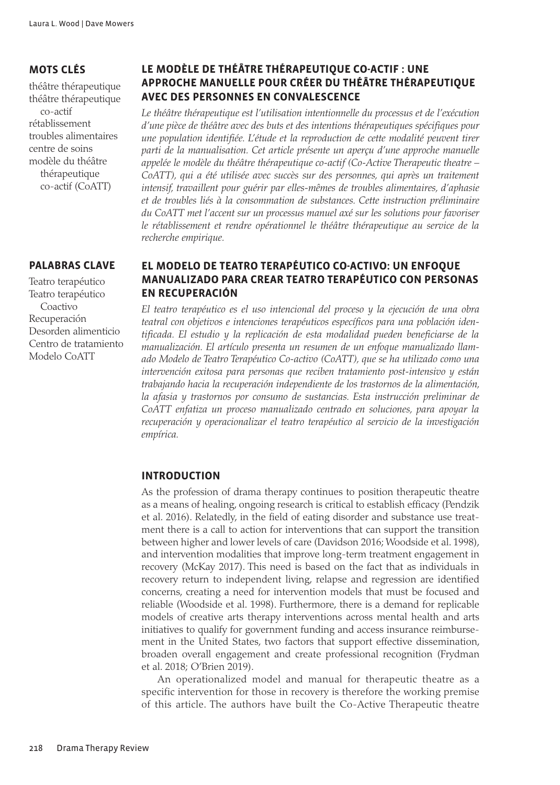# **Mots clés**

théâtre thérapeutique théâtre thérapeutique co-actif rétablissement troubles alimentaires centre de soins modèle du théâtre thérapeutique co-actif (CoATT)

## **Palabras clave**

Teatro terapéutico Teatro terapéutico Coactivo Recuperación Desorden alimenticio Centro de tratamiento Modelo CoATT

# **Le modèle de théâtre thérapeutique co-actif : une approche manuelle pour créer du théâtre thérapeutique avec des personnes en convalescence**

*Le théâtre thérapeutique est l'utilisation intentionnelle du processus et de l'exécution d'une pièce de théâtre avec des buts et des intentions thérapeutiques spécifiques pour une population identifiée. L'étude et la reproduction de cette modalité peuvent tirer parti de la manualisation. Cet article présente un aperçu d'une approche manuelle appelée le modèle du théâtre thérapeutique co-actif (Co-Active Therapeutic theatre –*  CoATT), qui a été utilisée avec succès sur des personnes, qui après un traitement *intensif, travaillent pour guérir par elles-mêmes de troubles alimentaires, d'aphasie et de troubles liés à la consommation de substances. Cette instruction préliminaire du CoATT met l'accent sur un processus manuel axé sur les solutions pour favoriser le rétablissement et rendre opérationnel le théâtre thérapeutique au service de la recherche empirique.*

# **El Modelo de Teatro terapéutico Co-activo: Un enfoque manualizado para crear teatro terapéutico con personas en recuperación**

*El teatro terapéutico es el uso intencional del proceso y la ejecución de una obra teatral con objetivos e intenciones terapéuticos específicos para una población identificada. El estudio y la replicación de esta modalidad pueden beneficiarse de la manualización. El artículo presenta un resumen de un enfoque manualizado llamado Modelo de Teatro Terapéutico Co-activo (CoATT), que se ha utilizado como una intervención exitosa para personas que reciben tratamiento post-intensivo y están trabajando hacia la recuperación independiente de los trastornos de la alimentación, la afasia y trastornos por consumo de sustancias. Esta instrucción preliminar de CoATT enfatiza un proceso manualizado centrado en soluciones, para apoyar la recuperación y operacionalizar el teatro terapéutico al servicio de la investigación empírica.*

## **Introduction**

As the profession of drama therapy continues to position therapeutic theatre as a means of healing, ongoing research is critical to establish efficacy (Pendzik et al. 2016). Relatedly, in the field of eating disorder and substance use treatment there is a call to action for interventions that can support the transition between higher and lower levels of care (Davidson 2016; Woodside et al. 1998), and intervention modalities that improve long-term treatment engagement in recovery (McKay 2017). This need is based on the fact that as individuals in recovery return to independent living, relapse and regression are identified concerns, creating a need for intervention models that must be focused and reliable (Woodside et al. 1998). Furthermore, there is a demand for replicable models of creative arts therapy interventions across mental health and arts initiatives to qualify for government funding and access insurance reimbursement in the United States, two factors that support effective dissemination, broaden overall engagement and create professional recognition (Frydman et al. 2018; O'Brien 2019).

An operationalized model and manual for therapeutic theatre as a specific intervention for those in recovery is therefore the working premise of this article. The authors have built the Co-Active Therapeutic theatre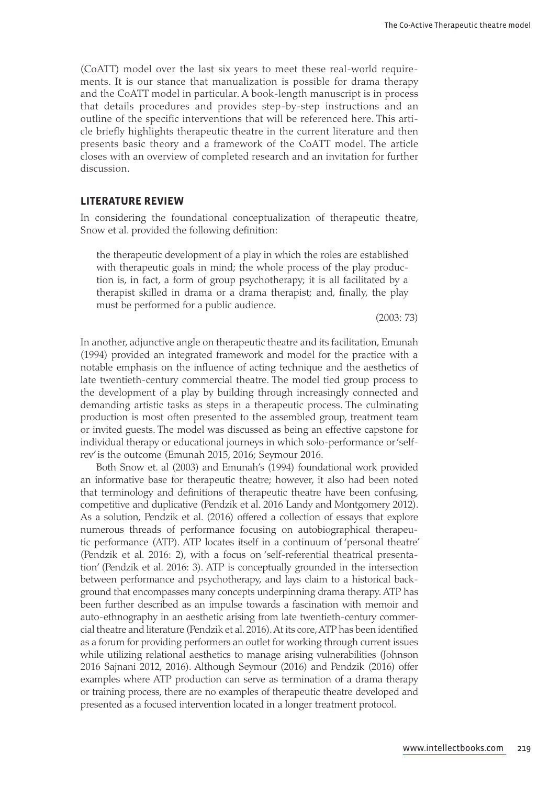(CoATT) model over the last six years to meet these real-world requirements. It is our stance that manualization is possible for drama therapy and the CoATT model in particular. A book-length manuscript is in process that details procedures and provides step-by-step instructions and an outline of the specific interventions that will be referenced here. This article briefly highlights therapeutic theatre in the current literature and then presents basic theory and a framework of the CoATT model. The article closes with an overview of completed research and an invitation for further discussion.

## **Literature review**

In considering the foundational conceptualization of therapeutic theatre, Snow et al. provided the following definition:

the therapeutic development of a play in which the roles are established with therapeutic goals in mind; the whole process of the play production is, in fact, a form of group psychotherapy; it is all facilitated by a therapist skilled in drama or a drama therapist; and, finally, the play must be performed for a public audience.

(2003: 73)

In another, adjunctive angle on therapeutic theatre and its facilitation, Emunah (1994) provided an integrated framework and model for the practice with a notable emphasis on the influence of acting technique and the aesthetics of late twentieth-century commercial theatre. The model tied group process to the development of a play by building through increasingly connected and demanding artistic tasks as steps in a therapeutic process. The culminating production is most often presented to the assembled group, treatment team or invited guests. The model was discussed as being an effective capstone for individual therapy or educational journeys in which solo-performance or 'selfrev' is the outcome (Emunah 2015, 2016; Seymour 2016.

Both Snow et. al (2003) and Emunah's (1994) foundational work provided an informative base for therapeutic theatre; however, it also had been noted that terminology and definitions of therapeutic theatre have been confusing, competitive and duplicative (Pendzik et al. 2016 Landy and Montgomery 2012). As a solution, Pendzik et al. (2016) offered a collection of essays that explore numerous threads of performance focusing on autobiographical therapeutic performance (ATP). ATP locates itself in a continuum of 'personal theatre' (Pendzik et al. 2016: 2), with a focus on 'self-referential theatrical presentation' (Pendzik et al. 2016: 3). ATP is conceptually grounded in the intersection between performance and psychotherapy, and lays claim to a historical background that encompasses many concepts underpinning drama therapy. ATP has been further described as an impulse towards a fascination with memoir and auto-ethnography in an aesthetic arising from late twentieth-century commercial theatre and literature (Pendzik et al. 2016). At its core, ATP has been identified as a forum for providing performers an outlet for working through current issues while utilizing relational aesthetics to manage arising vulnerabilities (Johnson 2016 Sajnani 2012, 2016). Although Seymour (2016) and Pendzik (2016) offer examples where ATP production can serve as termination of a drama therapy or training process, there are no examples of therapeutic theatre developed and presented as a focused intervention located in a longer treatment protocol.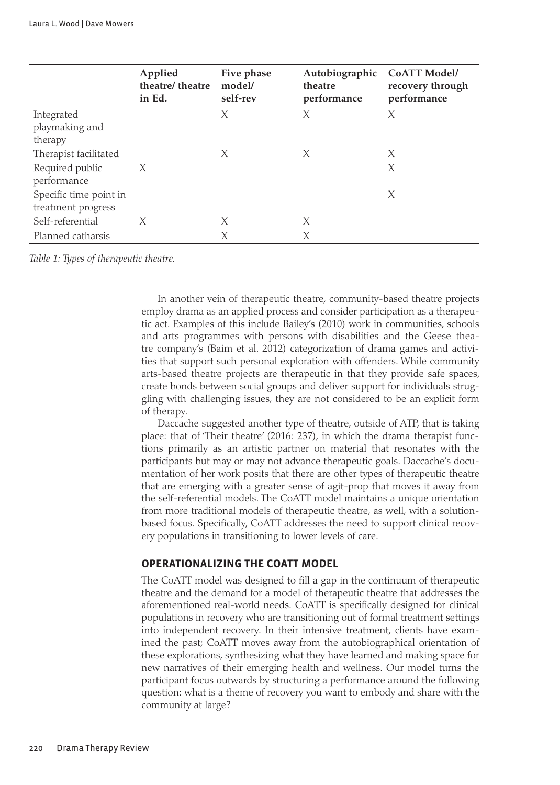|                                              | Applied<br>theatre/ theatre<br>in Ed. | Five phase<br>model/<br>self-rev | Autobiographic<br>theatre<br>performance | <b>CoATT Model/</b><br>recovery through<br>performance |
|----------------------------------------------|---------------------------------------|----------------------------------|------------------------------------------|--------------------------------------------------------|
| Integrated<br>playmaking and<br>therapy      |                                       | X                                | X                                        | X                                                      |
| Therapist facilitated                        |                                       | X                                | X                                        | X                                                      |
| Required public<br>performance               | $\chi$                                |                                  |                                          | X                                                      |
| Specific time point in<br>treatment progress |                                       |                                  |                                          | X                                                      |
| Self-referential                             | X                                     | X                                | X                                        |                                                        |
| Planned catharsis                            |                                       | X                                | X                                        |                                                        |

*Table 1: Types of therapeutic theatre.*

In another vein of therapeutic theatre, community-based theatre projects employ drama as an applied process and consider participation as a therapeutic act. Examples of this include Bailey's (2010) work in communities, schools and arts programmes with persons with disabilities and the Geese theatre company's (Baim et al. 2012) categorization of drama games and activities that support such personal exploration with offenders. While community arts-based theatre projects are therapeutic in that they provide safe spaces, create bonds between social groups and deliver support for individuals struggling with challenging issues, they are not considered to be an explicit form of therapy.

Daccache suggested another type of theatre, outside of ATP, that is taking place: that of 'Their theatre' (2016: 237), in which the drama therapist functions primarily as an artistic partner on material that resonates with the participants but may or may not advance therapeutic goals. Daccache's documentation of her work posits that there are other types of therapeutic theatre that are emerging with a greater sense of agit-prop that moves it away from the self-referential models. The CoATT model maintains a unique orientation from more traditional models of therapeutic theatre, as well, with a solutionbased focus. Specifically, CoATT addresses the need to support clinical recovery populations in transitioning to lower levels of care.

#### **Operationalizing the CoATT model**

The CoATT model was designed to fill a gap in the continuum of therapeutic theatre and the demand for a model of therapeutic theatre that addresses the aforementioned real-world needs. CoATT is specifically designed for clinical populations in recovery who are transitioning out of formal treatment settings into independent recovery. In their intensive treatment, clients have examined the past; CoATT moves away from the autobiographical orientation of these explorations, synthesizing what they have learned and making space for new narratives of their emerging health and wellness. Our model turns the participant focus outwards by structuring a performance around the following question: what is a theme of recovery you want to embody and share with the community at large?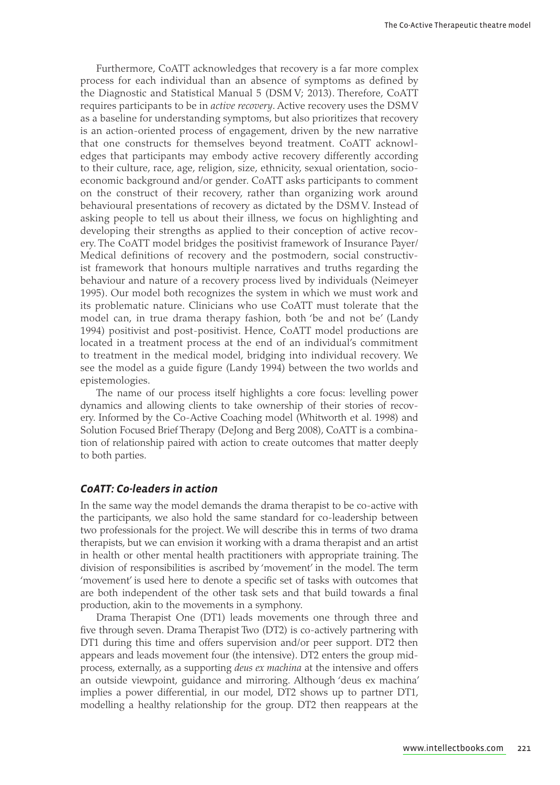Furthermore, CoATT acknowledges that recovery is a far more complex process for each individual than an absence of symptoms as defined by the Diagnostic and Statistical Manual 5 (DSM V; 2013). Therefore, CoATT requires participants to be in *active recovery*. Active recovery uses the DSM V as a baseline for understanding symptoms, but also prioritizes that recovery is an action-oriented process of engagement, driven by the new narrative that one constructs for themselves beyond treatment. CoATT acknowledges that participants may embody active recovery differently according to their culture, race, age, religion, size, ethnicity, sexual orientation, socioeconomic background and/or gender. CoATT asks participants to comment on the construct of their recovery, rather than organizing work around behavioural presentations of recovery as dictated by the DSM V. Instead of asking people to tell us about their illness, we focus on highlighting and developing their strengths as applied to their conception of active recovery. The CoATT model bridges the positivist framework of Insurance Payer/ Medical definitions of recovery and the postmodern, social constructivist framework that honours multiple narratives and truths regarding the behaviour and nature of a recovery process lived by individuals (Neimeyer 1995). Our model both recognizes the system in which we must work and its problematic nature. Clinicians who use CoATT must tolerate that the model can, in true drama therapy fashion, both 'be and not be' (Landy 1994) positivist and post-positivist. Hence, CoATT model productions are located in a treatment process at the end of an individual's commitment to treatment in the medical model, bridging into individual recovery. We see the model as a guide figure (Landy 1994) between the two worlds and epistemologies.

The name of our process itself highlights a core focus: levelling power dynamics and allowing clients to take ownership of their stories of recovery. Informed by the Co-Active Coaching model (Whitworth et al. 1998) and Solution Focused Brief Therapy (DeJong and Berg 2008), CoATT is a combination of relationship paired with action to create outcomes that matter deeply to both parties.

## *CoATT: Co-leaders in action*

In the same way the model demands the drama therapist to be co-active with the participants, we also hold the same standard for co-leadership between two professionals for the project. We will describe this in terms of two drama therapists, but we can envision it working with a drama therapist and an artist in health or other mental health practitioners with appropriate training. The division of responsibilities is ascribed by 'movement' in the model. The term 'movement' is used here to denote a specific set of tasks with outcomes that are both independent of the other task sets and that build towards a final production, akin to the movements in a symphony.

Drama Therapist One (DT1) leads movements one through three and five through seven. Drama Therapist Two (DT2) is co-actively partnering with DT1 during this time and offers supervision and/or peer support. DT2 then appears and leads movement four (the intensive). DT2 enters the group midprocess, externally, as a supporting *deus ex machina* at the intensive and offers an outside viewpoint, guidance and mirroring. Although 'deus ex machina' implies a power differential, in our model, DT2 shows up to partner DT1, modelling a healthy relationship for the group. DT2 then reappears at the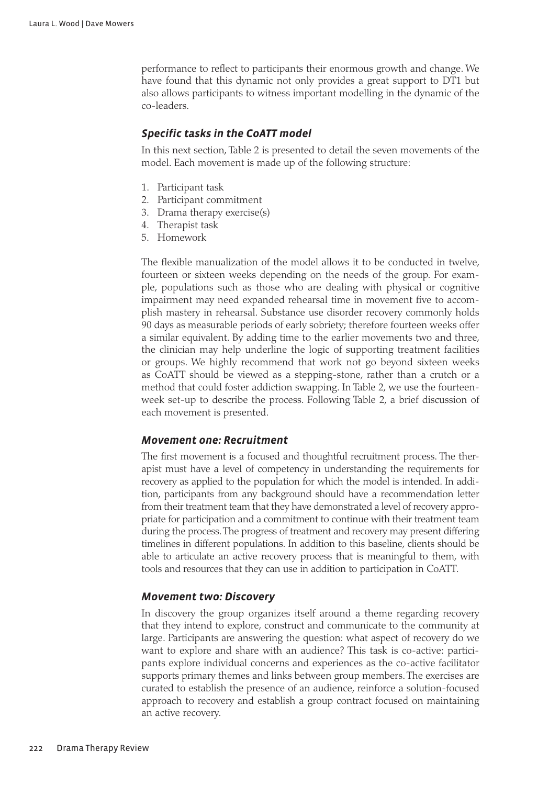performance to reflect to participants their enormous growth and change. We have found that this dynamic not only provides a great support to DT1 but also allows participants to witness important modelling in the dynamic of the co-leaders.

## *Specific tasks in the CoATT model*

In this next section, Table 2 is presented to detail the seven movements of the model. Each movement is made up of the following structure:

- 1. Participant task
- 2. Participant commitment
- 3. Drama therapy exercise(s)
- 4. Therapist task
- 5. Homework

The flexible manualization of the model allows it to be conducted in twelve, fourteen or sixteen weeks depending on the needs of the group. For example, populations such as those who are dealing with physical or cognitive impairment may need expanded rehearsal time in movement five to accomplish mastery in rehearsal. Substance use disorder recovery commonly holds 90 days as measurable periods of early sobriety; therefore fourteen weeks offer a similar equivalent. By adding time to the earlier movements two and three, the clinician may help underline the logic of supporting treatment facilities or groups. We highly recommend that work not go beyond sixteen weeks as CoATT should be viewed as a stepping-stone, rather than a crutch or a method that could foster addiction swapping. In Table 2, we use the fourteenweek set-up to describe the process. Following Table 2, a brief discussion of each movement is presented.

## *Movement one: Recruitment*

The first movement is a focused and thoughtful recruitment process. The therapist must have a level of competency in understanding the requirements for recovery as applied to the population for which the model is intended. In addition, participants from any background should have a recommendation letter from their treatment team that they have demonstrated a level of recovery appropriate for participation and a commitment to continue with their treatment team during the process. The progress of treatment and recovery may present differing timelines in different populations. In addition to this baseline, clients should be able to articulate an active recovery process that is meaningful to them, with tools and resources that they can use in addition to participation in CoATT.

## *Movement two: Discovery*

In discovery the group organizes itself around a theme regarding recovery that they intend to explore, construct and communicate to the community at large. Participants are answering the question: what aspect of recovery do we want to explore and share with an audience? This task is co-active: participants explore individual concerns and experiences as the co-active facilitator supports primary themes and links between group members. The exercises are curated to establish the presence of an audience, reinforce a solution-focused approach to recovery and establish a group contract focused on maintaining an active recovery.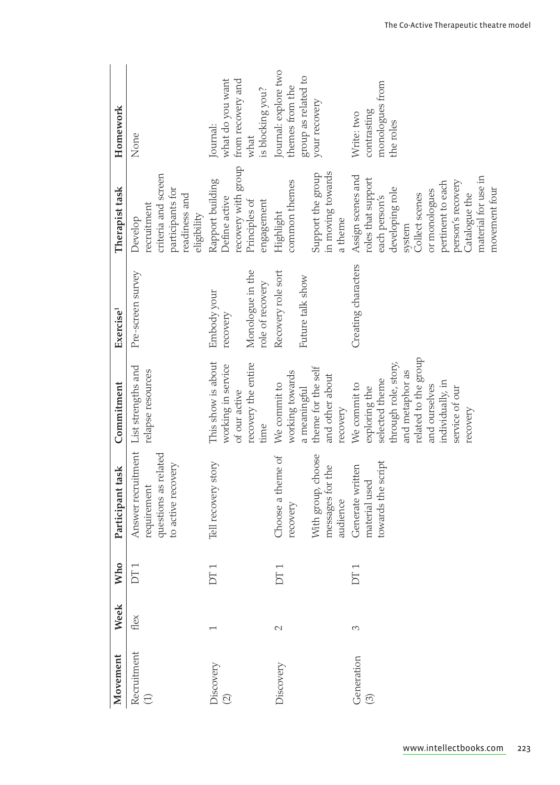| Movement                             | Week | <b>Who</b>                     | Participant task                                                                    | Commitment                                                                                                                                                                            | Exercise <sup>1</sup>                                           | Therapist task                                                                                                                                                                                                              | Homework                                                                        |
|--------------------------------------|------|--------------------------------|-------------------------------------------------------------------------------------|---------------------------------------------------------------------------------------------------------------------------------------------------------------------------------------|-----------------------------------------------------------------|-----------------------------------------------------------------------------------------------------------------------------------------------------------------------------------------------------------------------------|---------------------------------------------------------------------------------|
| Recruitment<br>$\bigoplus$           | flex | DT                             | Answer recruitment<br>questions as related<br>to active recovery<br>requirement     | List strengths and<br>relapse resources                                                                                                                                               | Pre-screen survey                                               | criteria and screen<br>participants for<br>readiness and<br>recruitment<br>eligibility<br>Develop                                                                                                                           | None                                                                            |
| Discovery<br>$\widehat{\mathcal{O}}$ |      | Ţ<br>$\overline{D}$            | Tell recovery story                                                                 | This show is about<br>recovery the entire<br>working in service<br>of our active<br>time                                                                                              | Monologue in the<br>role of recovery<br>Embody your<br>recovery | recovery with group<br>Rapport building<br>Define active<br>Principles of<br>engagement                                                                                                                                     | what do you want<br>from recovery and<br>is blocking you?<br>Journal:<br>what   |
| Discovery                            | 2    | $\overline{\phantom{0}}$<br>DT | With group, choose<br>Choose a theme of<br>messages for the<br>audience<br>recovery | theme for the self<br>working towards<br>and other about<br>We commit to<br>a meaningful<br>recovery                                                                                  | Recovery role sort<br>Future talk show                          | in moving towards<br>Support the group<br>common themes<br>Highlight<br>a theme                                                                                                                                             | Journal: explore two<br>group as related to<br>themes from the<br>your recovery |
| Generation<br>$\widehat{\odot}$      | 3    | $\overline{\phantom{0}}$<br>E  | towards the script<br>Generate written<br>material used                             | related to the group<br>through role, story,<br>and metaphor as<br>selected theme<br>individually, in<br>We commit to<br>and ourselves<br>exploring the<br>service of our<br>recovery | Creating characters                                             | Assign scenes and<br>material for use in<br>roles that support<br>person's recovery<br>pertinent to each<br>developing role<br>or monologues<br>movement four<br>Collect scenes<br>Catalogue the<br>each person's<br>system | monologues from<br>contrasting<br>Write: two<br>the roles                       |

[www.intellectbo](http://www.intellectbooks.com)oks.com 223

 $\bigoplus$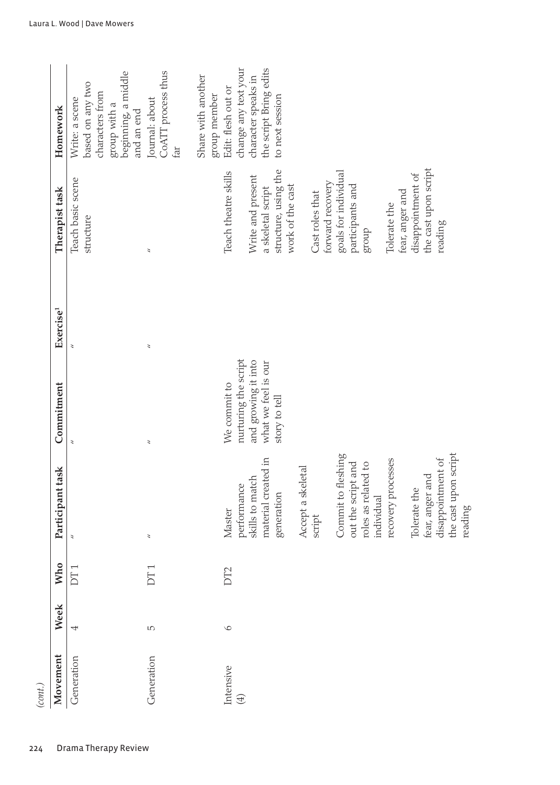| Movement    | Week    | Who                            | Participant task                          | Commitment                                  | Exercise <sup>1</sup> | Therapist task                            | Homework                                                                                                   |
|-------------|---------|--------------------------------|-------------------------------------------|---------------------------------------------|-----------------------|-------------------------------------------|------------------------------------------------------------------------------------------------------------|
| Generation  | 4       | $\overline{\phantom{0}}$<br>DT |                                           | $\overline{a}$                              |                       | Teach basic scene<br>structure            | beginning, a middle<br>based on any two<br>characters from<br>Write: a scene<br>group with a<br>and an end |
| Generation  | LO.     | ſ<br>БŢ                        | $\overline{\phantom{a}}$                  | $\overline{\phantom{a}}$                    | 3                     | 3                                         | CoATT process thus<br>Journal: about<br>far                                                                |
|             |         |                                |                                           |                                             |                       |                                           | Share with another<br>group member                                                                         |
| Intensive   | $\circ$ | DT2                            | Master                                    | We commit to                                |                       | Teach theatre skills                      | Edit: flesh out or                                                                                         |
| $\bigoplus$ |         |                                | skills to match<br>performance            | nurturing the script<br>and growing it into |                       | Write and present                         | change any text your<br>character speaks in                                                                |
|             |         |                                | material created in<br>generation         | what we feel is our<br>story to tell        |                       | structure, using the<br>a skeletal script | the script Bring edits<br>to next session                                                                  |
|             |         |                                |                                           |                                             |                       | work of the cast                          |                                                                                                            |
|             |         |                                | Accept a skeletal<br>script               |                                             |                       | Cast roles that                           |                                                                                                            |
|             |         |                                |                                           |                                             |                       | forward recovery                          |                                                                                                            |
|             |         |                                | Commit to fleshing                        |                                             |                       | goals for individual                      |                                                                                                            |
|             |         |                                | out the script and                        |                                             |                       | participants and                          |                                                                                                            |
|             |         |                                | roles as related to<br>individual         |                                             |                       | dnora                                     |                                                                                                            |
|             |         |                                | recovery processes                        |                                             |                       | Tolerate the                              |                                                                                                            |
|             |         |                                |                                           |                                             |                       | fear, anger and                           |                                                                                                            |
|             |         |                                | Tolerate the                              |                                             |                       | disappointment of                         |                                                                                                            |
|             |         |                                | fear, anger and                           |                                             |                       | the cast upon script                      |                                                                                                            |
|             |         |                                | the cast upon script<br>disappointment of |                                             |                       | reading                                   |                                                                                                            |
|             |         |                                | reading                                   |                                             |                       |                                           |                                                                                                            |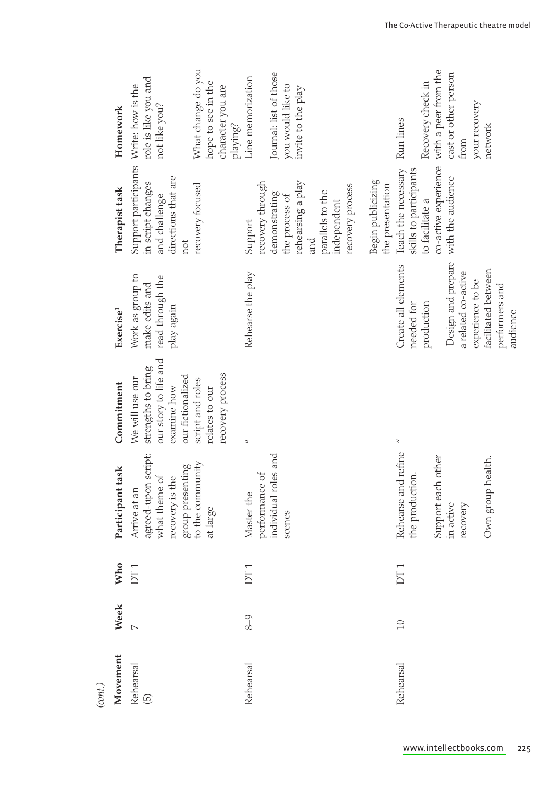| (cont.)              |         |                                |                                                                                                                             |                                                                                                                                                              |                                                                                                                                                                       |                                                                                                                                                   |                                                                                                                                         |
|----------------------|---------|--------------------------------|-----------------------------------------------------------------------------------------------------------------------------|--------------------------------------------------------------------------------------------------------------------------------------------------------------|-----------------------------------------------------------------------------------------------------------------------------------------------------------------------|---------------------------------------------------------------------------------------------------------------------------------------------------|-----------------------------------------------------------------------------------------------------------------------------------------|
| Movement             | Week    | <b>Who</b>                     | Participant task                                                                                                            | Commitment                                                                                                                                                   | Exercise <sup>1</sup>                                                                                                                                                 | Therapist task                                                                                                                                    | Homework                                                                                                                                |
| Rehearsal<br>$\odot$ | $\sim$  | $\overline{ }$<br>DT           | agreed-upon script:<br>to the community<br>group presenting<br>what theme of<br>recovery is the<br>Arrive at an<br>at large | our story to life and<br>strengths to bring<br>recovery process<br>our fictionalized<br>script and roles<br>We will use our<br>examine how<br>relates to our | Work as group to<br>read through the<br>make edits and<br>play again                                                                                                  | Support participants Write: how is the<br>directions that are<br>in script changes<br>recovery focused<br>and challenge<br>not                    | What change do you<br>role is like you and<br>hope to see in the<br>character you are<br>not like you?                                  |
| Rehearsal            | $8 - 9$ | ſ<br>E                         | individual roles and<br>performance of<br>Master the<br>scenes                                                              | $\tilde{z}$                                                                                                                                                  | Rehearse the play                                                                                                                                                     | recovery through<br>rehearsing a play<br>recovery process<br>parallels to the<br>demonstrating<br>the process of<br>independent<br>Support<br>and | Journal: list of those<br>Line memorization<br>you would like to<br>invite to the play<br>playing?                                      |
| Rehearsal            | 10      | $\overline{\phantom{0}}$<br>БŢ | Rehearse and refine<br>Support each other<br>Own group health.<br>the production.<br>in active<br>recovery                  | 3                                                                                                                                                            | Design and prepare<br>Create all elements<br>facilitated between<br>a related co-active<br>experience to be<br>performers and<br>production<br>needed for<br>audience | Teach the necessary<br>skills to participants<br>with the audience<br>Begin publicizing<br>the presentation<br>to facilitate a                    | co-active experience with a peer from the<br>cast or other person<br>Recovery check in<br>your recovery<br>Run lines<br>network<br>from |

[www.intellectbo](http://www.intellectbooks.com)oks.com 225

 $\bigoplus$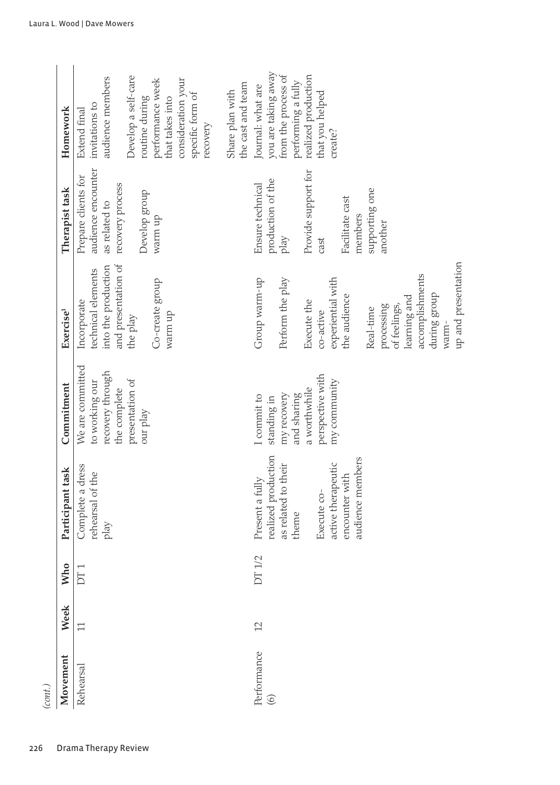| Homework<br>Therapist task | Develop a self-care<br>audience members<br>consideration your<br>performance week<br>specific form of<br>routine during<br>that takes into<br>invitations to<br>Extend final<br>recovery<br>audience encounter<br>Prepare clients for<br>recovery process<br>Develop group<br>as related to | you are taking away<br>from the process of<br>realized production<br>performing a fully<br>the cast and team<br>Journal: what are<br>Share plan with<br>that you helped<br>create?<br>Provide support for<br>production of the<br>Ensure technical<br>supporting one<br>Facilitate cast |
|----------------------------|---------------------------------------------------------------------------------------------------------------------------------------------------------------------------------------------------------------------------------------------------------------------------------------------|-----------------------------------------------------------------------------------------------------------------------------------------------------------------------------------------------------------------------------------------------------------------------------------------|
|                            | warm up                                                                                                                                                                                                                                                                                     | members<br>another<br>play<br>cast                                                                                                                                                                                                                                                      |
| Exercise <sup>1</sup>      | and presentation of<br>into the production<br>technical elements<br>Co-create group<br>Incorporate<br>warm up<br>the play                                                                                                                                                                   | up and presentation<br>accomplishments<br>Group warm-up<br>experiential with<br>Perform the play<br>during group<br>the audience<br>learning and<br>Execute the<br>of feelings,<br>processing<br>Real-time<br>co-active<br>warm-                                                        |
| Commitment                 | We are committed<br>recovery through<br>presentation of<br>to working our<br>the complete<br>our play                                                                                                                                                                                       | perspective with<br>my community<br>a worthwhile<br>my recovery<br>and sharing<br>I commit to<br>standing in                                                                                                                                                                            |
| Participant task           | Complete a dress<br>rehearsal of the<br>play                                                                                                                                                                                                                                                | realized production<br>audience members<br>active therapeutic<br>as related to their<br>encounter with<br>Present a fully<br>Execute co-<br>theme                                                                                                                                       |
| ho<br>⅀                    | DT <sub>1</sub>                                                                                                                                                                                                                                                                             | DT 1/2                                                                                                                                                                                                                                                                                  |
| Week                       | $\Box$                                                                                                                                                                                                                                                                                      | 12                                                                                                                                                                                                                                                                                      |
| Movement                   | Rehearsal                                                                                                                                                                                                                                                                                   | Performance<br>$\circledcirc$                                                                                                                                                                                                                                                           |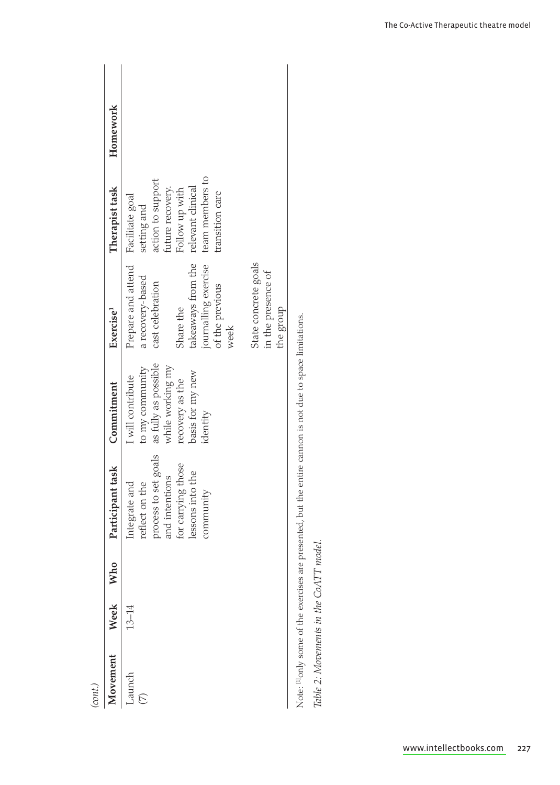| cont.)                            |           |        |                                                                                                                                  |                                                                                                                                     |                                                                                                                                                                                                                               |                                                                                                                                 |          |
|-----------------------------------|-----------|--------|----------------------------------------------------------------------------------------------------------------------------------|-------------------------------------------------------------------------------------------------------------------------------------|-------------------------------------------------------------------------------------------------------------------------------------------------------------------------------------------------------------------------------|---------------------------------------------------------------------------------------------------------------------------------|----------|
| Movement                          | Week      | ă<br>≅ | Participant task                                                                                                                 | Commitment                                                                                                                          | Exercise <sup>1</sup>                                                                                                                                                                                                         | Therapist task                                                                                                                  | Homework |
| Launch<br>$\overline{\mathbb{C}}$ | $13 - 14$ |        | process to set goals<br>for carrying those<br>lessons into the<br>and intentions<br>reflect on the<br>Integrate and<br>community | as fully as possible<br>while working my<br>to my community<br>basis for my new<br>I will contribute<br>recovery as the<br>identity | takeaways from the relevant clinical<br>journalling exercise<br>State concrete goals<br>Prepare and attend<br>in the presence of<br>a recovery-based<br>cast celebration<br>of the previous<br>Share the<br>the group<br>week | team members to<br>action to support<br>future recovery.<br>Follow up with<br>transition care<br>Facilitate goal<br>setting and |          |
|                                   |           |        | Note: <sup>[1]</sup> only some of the exercises are presented, but the entire cannon is not due to space limitations.            |                                                                                                                                     |                                                                                                                                                                                                                               |                                                                                                                                 |          |

Table 2: Movements in the CoATT model. *Table 2: Movements in the CoATT model.*

 $\overline{\phantom{a}}$ 

 $\bigoplus$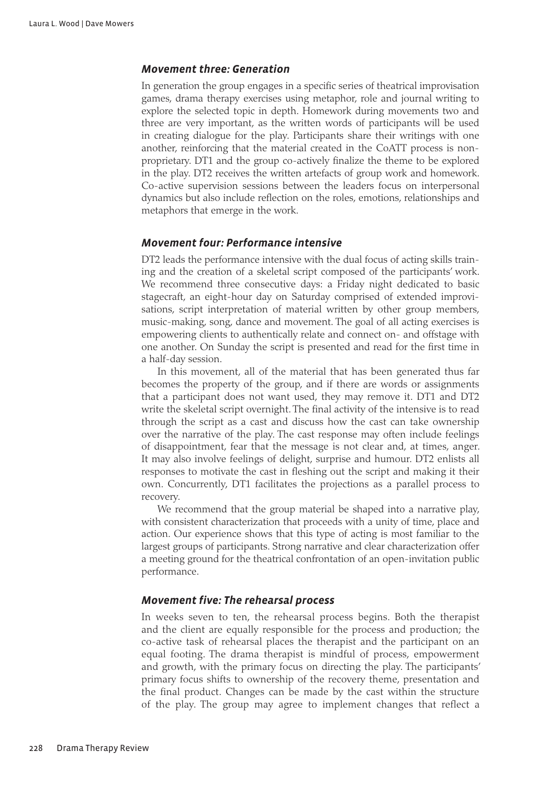## *Movement three: Generation*

In generation the group engages in a specific series of theatrical improvisation games, drama therapy exercises using metaphor, role and journal writing to explore the selected topic in depth. Homework during movements two and three are very important, as the written words of participants will be used in creating dialogue for the play. Participants share their writings with one another, reinforcing that the material created in the CoATT process is nonproprietary. DT1 and the group co-actively finalize the theme to be explored in the play. DT2 receives the written artefacts of group work and homework. Co-active supervision sessions between the leaders focus on interpersonal dynamics but also include reflection on the roles, emotions, relationships and metaphors that emerge in the work.

## *Movement four: Performance intensive*

DT2 leads the performance intensive with the dual focus of acting skills training and the creation of a skeletal script composed of the participants' work. We recommend three consecutive days: a Friday night dedicated to basic stagecraft, an eight-hour day on Saturday comprised of extended improvisations, script interpretation of material written by other group members, music-making, song, dance and movement. The goal of all acting exercises is empowering clients to authentically relate and connect on- and offstage with one another. On Sunday the script is presented and read for the first time in a half-day session.

In this movement, all of the material that has been generated thus far becomes the property of the group, and if there are words or assignments that a participant does not want used, they may remove it. DT1 and DT2 write the skeletal script overnight. The final activity of the intensive is to read through the script as a cast and discuss how the cast can take ownership over the narrative of the play. The cast response may often include feelings of disappointment, fear that the message is not clear and, at times, anger. It may also involve feelings of delight, surprise and humour. DT2 enlists all responses to motivate the cast in fleshing out the script and making it their own. Concurrently, DT1 facilitates the projections as a parallel process to recovery.

We recommend that the group material be shaped into a narrative play, with consistent characterization that proceeds with a unity of time, place and action. Our experience shows that this type of acting is most familiar to the largest groups of participants. Strong narrative and clear characterization offer a meeting ground for the theatrical confrontation of an open-invitation public performance.

## *Movement five: The rehearsal process*

In weeks seven to ten, the rehearsal process begins. Both the therapist and the client are equally responsible for the process and production; the co-active task of rehearsal places the therapist and the participant on an equal footing. The drama therapist is mindful of process, empowerment and growth, with the primary focus on directing the play. The participants' primary focus shifts to ownership of the recovery theme, presentation and the final product. Changes can be made by the cast within the structure of the play. The group may agree to implement changes that reflect a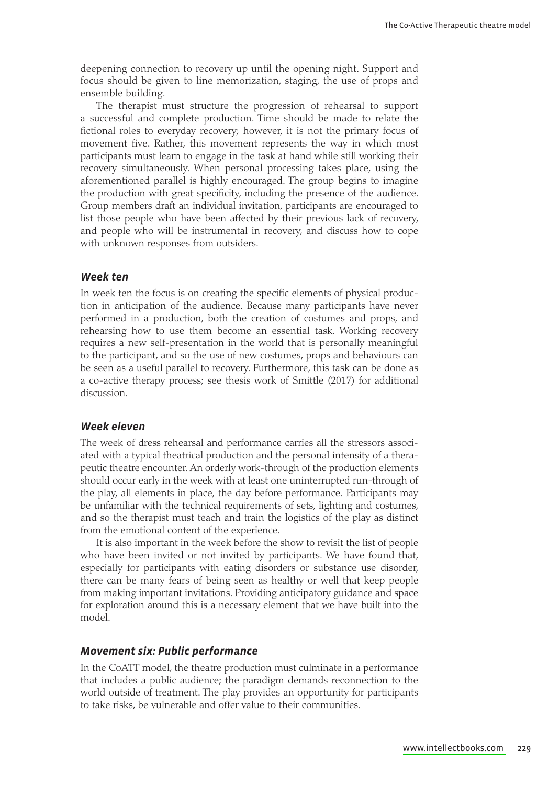deepening connection to recovery up until the opening night. Support and focus should be given to line memorization, staging, the use of props and ensemble building.

The therapist must structure the progression of rehearsal to support a successful and complete production. Time should be made to relate the fictional roles to everyday recovery; however, it is not the primary focus of movement five. Rather, this movement represents the way in which most participants must learn to engage in the task at hand while still working their recovery simultaneously. When personal processing takes place, using the aforementioned parallel is highly encouraged. The group begins to imagine the production with great specificity, including the presence of the audience. Group members draft an individual invitation, participants are encouraged to list those people who have been affected by their previous lack of recovery, and people who will be instrumental in recovery, and discuss how to cope with unknown responses from outsiders.

### *Week ten*

In week ten the focus is on creating the specific elements of physical production in anticipation of the audience. Because many participants have never performed in a production, both the creation of costumes and props, and rehearsing how to use them become an essential task. Working recovery requires a new self-presentation in the world that is personally meaningful to the participant, and so the use of new costumes, props and behaviours can be seen as a useful parallel to recovery. Furthermore, this task can be done as a co-active therapy process; see thesis work of Smittle (2017) for additional discussion.

#### *Week eleven*

The week of dress rehearsal and performance carries all the stressors associated with a typical theatrical production and the personal intensity of a therapeutic theatre encounter. An orderly work-through of the production elements should occur early in the week with at least one uninterrupted run-through of the play, all elements in place, the day before performance. Participants may be unfamiliar with the technical requirements of sets, lighting and costumes, and so the therapist must teach and train the logistics of the play as distinct from the emotional content of the experience.

It is also important in the week before the show to revisit the list of people who have been invited or not invited by participants. We have found that, especially for participants with eating disorders or substance use disorder, there can be many fears of being seen as healthy or well that keep people from making important invitations. Providing anticipatory guidance and space for exploration around this is a necessary element that we have built into the model.

#### *Movement six: Public performance*

In the CoATT model, the theatre production must culminate in a performance that includes a public audience; the paradigm demands reconnection to the world outside of treatment. The play provides an opportunity for participants to take risks, be vulnerable and offer value to their communities.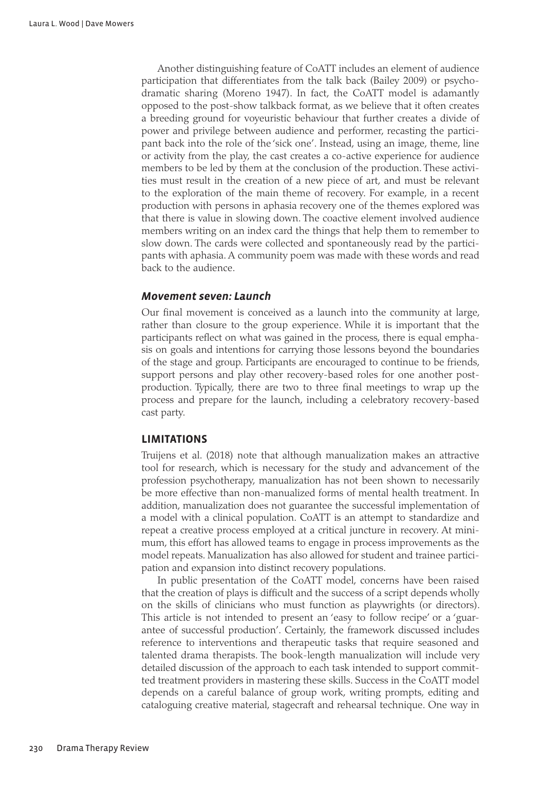Another distinguishing feature of CoATT includes an element of audience participation that differentiates from the talk back (Bailey 2009) or psychodramatic sharing (Moreno 1947). In fact, the CoATT model is adamantly opposed to the post-show talkback format, as we believe that it often creates a breeding ground for voyeuristic behaviour that further creates a divide of power and privilege between audience and performer, recasting the participant back into the role of the 'sick one'. Instead, using an image, theme, line or activity from the play, the cast creates a co-active experience for audience members to be led by them at the conclusion of the production. These activities must result in the creation of a new piece of art, and must be relevant to the exploration of the main theme of recovery. For example, in a recent production with persons in aphasia recovery one of the themes explored was that there is value in slowing down. The coactive element involved audience members writing on an index card the things that help them to remember to slow down. The cards were collected and spontaneously read by the participants with aphasia. A community poem was made with these words and read back to the audience.

#### *Movement seven: Launch*

Our final movement is conceived as a launch into the community at large, rather than closure to the group experience. While it is important that the participants reflect on what was gained in the process, there is equal emphasis on goals and intentions for carrying those lessons beyond the boundaries of the stage and group. Participants are encouraged to continue to be friends, support persons and play other recovery-based roles for one another postproduction. Typically, there are two to three final meetings to wrap up the process and prepare for the launch, including a celebratory recovery-based cast party.

#### **Limitations**

Truijens et al. (2018) note that although manualization makes an attractive tool for research, which is necessary for the study and advancement of the profession psychotherapy, manualization has not been shown to necessarily be more effective than non-manualized forms of mental health treatment. In addition, manualization does not guarantee the successful implementation of a model with a clinical population. CoATT is an attempt to standardize and repeat a creative process employed at a critical juncture in recovery. At minimum, this effort has allowed teams to engage in process improvements as the model repeats. Manualization has also allowed for student and trainee participation and expansion into distinct recovery populations.

In public presentation of the CoATT model, concerns have been raised that the creation of plays is difficult and the success of a script depends wholly on the skills of clinicians who must function as playwrights (or directors). This article is not intended to present an 'easy to follow recipe' or a 'guarantee of successful production'. Certainly, the framework discussed includes reference to interventions and therapeutic tasks that require seasoned and talented drama therapists. The book-length manualization will include very detailed discussion of the approach to each task intended to support committed treatment providers in mastering these skills. Success in the CoATT model depends on a careful balance of group work, writing prompts, editing and cataloguing creative material, stagecraft and rehearsal technique. One way in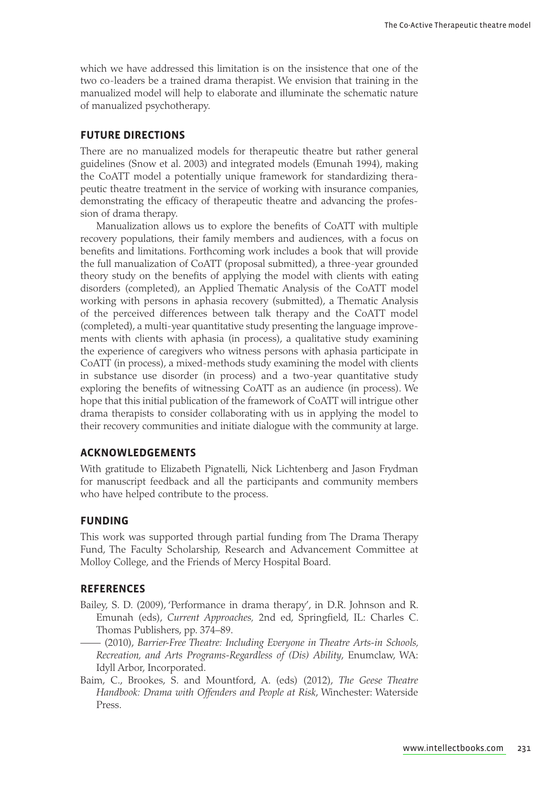which we have addressed this limitation is on the insistence that one of the two co-leaders be a trained drama therapist. We envision that training in the manualized model will help to elaborate and illuminate the schematic nature of manualized psychotherapy.

#### **Future directions**

There are no manualized models for therapeutic theatre but rather general guidelines (Snow et al. 2003) and integrated models (Emunah 1994), making the CoATT model a potentially unique framework for standardizing therapeutic theatre treatment in the service of working with insurance companies, demonstrating the efficacy of therapeutic theatre and advancing the profession of drama therapy.

Manualization allows us to explore the benefits of CoATT with multiple recovery populations, their family members and audiences, with a focus on benefits and limitations. Forthcoming work includes a book that will provide the full manualization of CoATT (proposal submitted), a three-year grounded theory study on the benefits of applying the model with clients with eating disorders (completed), an Applied Thematic Analysis of the CoATT model working with persons in aphasia recovery (submitted), a Thematic Analysis of the perceived differences between talk therapy and the CoATT model (completed), a multi-year quantitative study presenting the language improvements with clients with aphasia (in process), a qualitative study examining the experience of caregivers who witness persons with aphasia participate in CoATT (in process), a mixed-methods study examining the model with clients in substance use disorder (in process) and a two-year quantitative study exploring the benefits of witnessing CoATT as an audience (in process). We hope that this initial publication of the framework of CoATT will intrigue other drama therapists to consider collaborating with us in applying the model to their recovery communities and initiate dialogue with the community at large.

## **Acknowledgements**

With gratitude to Elizabeth Pignatelli, Nick Lichtenberg and Jason Frydman for manuscript feedback and all the participants and community members who have helped contribute to the process.

## **Funding**

This work was supported through partial funding from The Drama Therapy Fund, The Faculty Scholarship, Research and Advancement Committee at Molloy College, and the Friends of Mercy Hospital Board.

#### **References**

- Bailey, S. D. (2009), 'Performance in drama therapy', in D.R. Johnson and R. Emunah (eds), *Current Approaches,* 2nd ed, Springfield, IL: Charles C. Thomas Publishers, pp. 374–89.
	- —— (2010), *Barrier-Free Theatre: Including Everyone in Theatre Arts-in Schools, Recreation, and Arts Programs-Regardless of (Dis) Ability*, Enumclaw, WA: Idyll Arbor, Incorporated.
- Baim, C., Brookes, S. and Mountford, A. (eds) (2012), *The Geese Theatre Handbook: Drama with Offenders and People at Risk*, Winchester: Waterside Press.

[www.intellectbo](http://www.intellectbooks.com)oks.com 231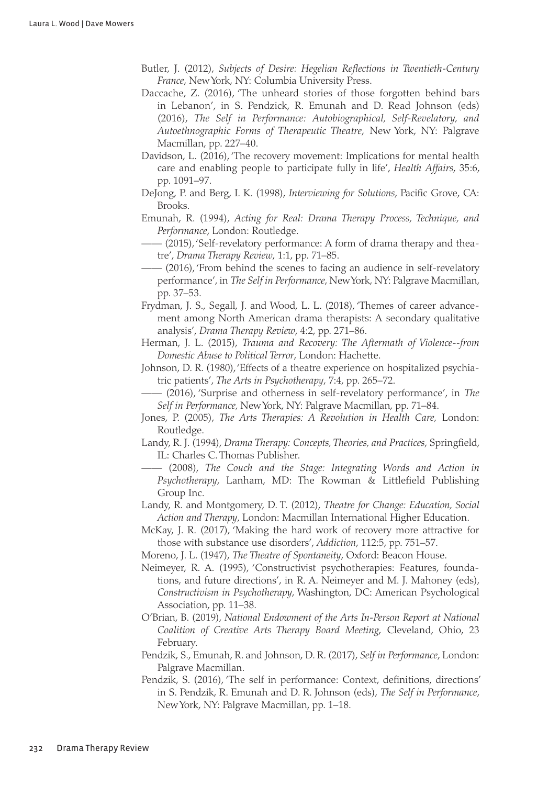- Butler, J. (2012), *Subjects of Desire: Hegelian Reflections in Twentieth-Century France*, New York, NY: Columbia University Press.
- Daccache, Z. (2016), 'The unheard stories of those forgotten behind bars in Lebanon', in S. Pendzick, R. Emunah and D. Read Johnson (eds) (2016), *The Self in Performance: Autobiographical, Self-Revelatory, and Autoethnographic Forms of Therapeutic Theatre*, New York, NY: Palgrave Macmillan, pp. 227–40.
- Davidson, L. (2016), 'The recovery movement: Implications for mental health care and enabling people to participate fully in life', *Health Affairs*, 35:6, pp. 1091–97.
- DeJong, P. and Berg, I. K. (1998), *Interviewing for Solutions*, Pacific Grove, CA: Brooks.
- Emunah, R. (1994), *Acting for Real: Drama Therapy Process, Technique, and Performance*, London: Routledge.
- —— (2015), 'Self-revelatory performance: A form of drama therapy and theatre', *Drama Therapy Review*, 1:1, pp. 71–85.
- —— (2016), 'From behind the scenes to facing an audience in self-revelatory performance', in *The Self in Performance*, New York, NY: Palgrave Macmillan, pp. 37–53.
- Frydman, J. S., Segall, J. and Wood, L. L. (2018), 'Themes of career advancement among North American drama therapists: A secondary qualitative analysis', *Drama Therapy Review*, 4:2, pp. 271–86.
- Herman, J. L. (2015), *Trauma and Recovery: The Aftermath of Violence--from Domestic Abuse to Political Terror*, London: Hachette.
- Johnson, D. R. (1980), 'Effects of a theatre experience on hospitalized psychiatric patients', *The Arts in Psychotherapy*, 7:4, pp. 265–72.
- —— (2016), 'Surprise and otherness in self-revelatory performance', in *The Self in Performance,* New York, NY: Palgrave Macmillan, pp. 71–84.
- Jones, P. (2005), *The Arts Therapies: A Revolution in Health Care,* London: Routledge.
- Landy, R. J. (1994), *Drama Therapy: Concepts, Theories, and Practices*, Springfield, IL: Charles C. Thomas Publisher.
- —— (2008), *The Couch and the Stage: Integrating Words and Action in Psychotherapy*, Lanham, MD: The Rowman & Littlefield Publishing Group Inc.
- Landy, R. and Montgomery, D. T. (2012), *Theatre for Change: Education, Social Action and Therapy*, London: Macmillan International Higher Education.
- McKay, J. R. (2017), 'Making the hard work of recovery more attractive for those with substance use disorders', *Addiction*, 112:5, pp. 751–57.
- Moreno, J. L. (1947), *The Theatre of Spontaneity*, Oxford: Beacon House.
- Neimeyer, R. A. (1995), 'Constructivist psychotherapies: Features, foundations, and future directions', in R. A. Neimeyer and M. J. Mahoney (eds), *Constructivism in Psychotherapy*, Washington, DC: American Psychological Association, pp. 11–38.
- O'Brian, B. (2019), *National Endowment of the Arts In-Person Report at National Coalition of Creative Arts Therapy Board Meeting*, Cleveland, Ohio, 23 February.
- Pendzik, S., Emunah, R. and Johnson, D. R. (2017), *Self in Performance*, London: Palgrave Macmillan.
- Pendzik, S. (2016), 'The self in performance: Context, definitions, directions' in S. Pendzik, R. Emunah and D. R. Johnson (eds), *The Self in Performance*, New York, NY: Palgrave Macmillan, pp. 1–18.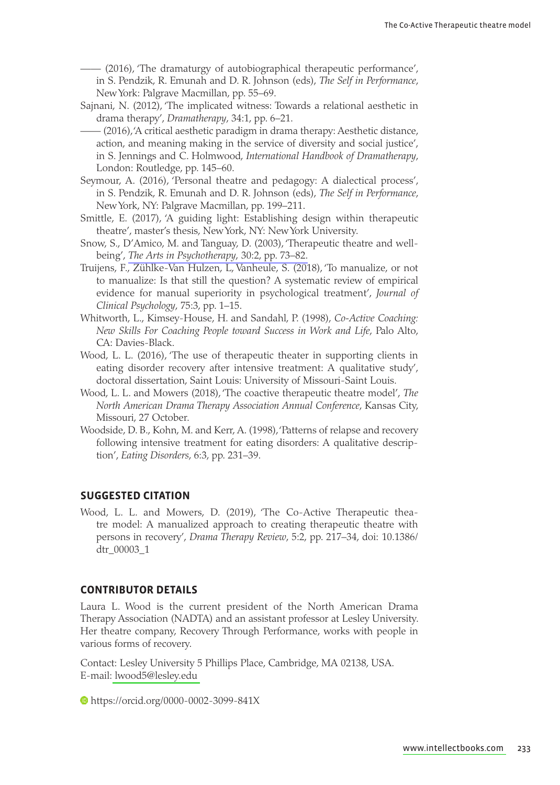- —— (2016), 'The dramaturgy of autobiographical therapeutic performance', in S. Pendzik, R. Emunah and D. R. Johnson (eds), *The Self in Performance*, New York: Palgrave Macmillan, pp. 55–69.
- Sajnani, N. (2012), 'The implicated witness: Towards a relational aesthetic in drama therapy', *Dramatherapy*, 34:1, pp. 6–21.
- —— (2016), 'A critical aesthetic paradigm in drama therapy: Aesthetic distance, action, and meaning making in the service of diversity and social justice', in S. Jennings and C. Holmwood, *International Handbook of Dramatherapy*, London: Routledge, pp. 145–60.
- Seymour, A. (2016), 'Personal theatre and pedagogy: A dialectical process', in S. Pendzik, R. Emunah and D. R. Johnson (eds), *The Self in Performance*, New York, NY: Palgrave Macmillan, pp. 199–211.
- Smittle, E. (2017), 'A guiding light: Establishing design within therapeutic theatre', master's thesis, New York, NY: New York University.
- Snow, S., D'Amico, M. and Tanguay, D. (2003), 'Therapeutic theatre and wellbeing', *[The Arts in Psychotherapy](http://www.ingentaconnect.com/content/external-references?article=0197-4556()30:2L.73[aid=9810979])*, 30:2, pp. 73–82.
- Truijens, F., Zühlke-Van Hulzen, L, Vanheule, S. (2018), 'To manualize, or not to manualize: Is that still the question? A systematic review of empirical evidence for manual superiority in psychological treatment', *Journal of Clinical Psychology*, 75:3, pp. 1–15.
- Whitworth, L., Kimsey-House, H. and Sandahl, P. (1998), *Co-Active Coaching: New Skills For Coaching People toward Success in Work and Life*, Palo Alto, CA: Davies-Black.
- Wood, L. L. (2016), 'The use of therapeutic theater in supporting clients in eating disorder recovery after intensive treatment: A qualitative study', doctoral dissertation, Saint Louis: University of Missouri-Saint Louis.
- Wood, L. L. and Mowers (2018), 'The coactive therapeutic theatre model', *The North American Drama Therapy Association Annual Conference*, Kansas City, Missouri, 27 October.
- Woodside, D. B., Kohn, M. and Kerr, A. (1998), 'Patterns of relapse and recovery following intensive treatment for eating disorders: A qualitative description', *Eating Disorders*, 6:3, pp. 231–39.

## **Suggested Citation**

Wood, L. L. and Mowers, D. (2019), 'The Co-Active Therapeutic theatre model: A manualized approach to creating therapeutic theatre with persons in recovery', *Drama Therapy Review*, 5:2, pp. 217–34, doi: 10.1386/ dtr\_00003\_1

#### **Contributor details**

Laura L. Wood is the current president of the North American Drama Therapy Association (NADTA) and an assistant professor at Lesley University. Her theatre company, Recovery Through Performance, works with people in various forms of recovery.

Contact: Lesley University 5 Phillips Place, Cambridge, MA 02138, USA. [E-mail: lwood5@le](mailto:lwood5@lesley.edu)sley.edu

https://orcid.org/0000-0002-3099-841X